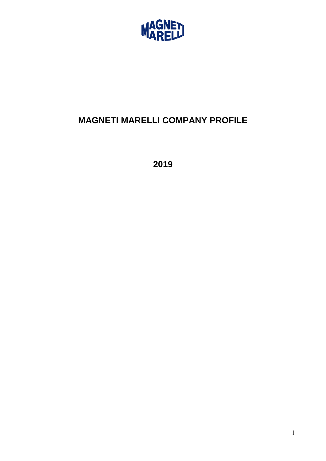

# **MAGNETI MARELLI COMPANY PROFILE**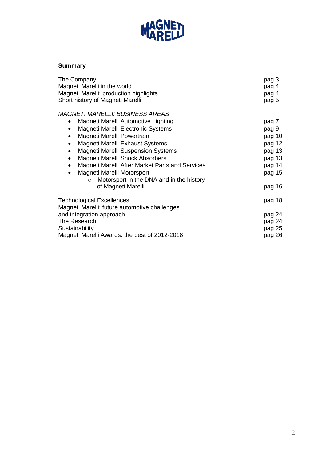

## **Summary**

| The Company                                            | pag 3  |
|--------------------------------------------------------|--------|
| Magneti Marelli in the world                           | pag 4  |
| Magneti Marelli: production highlights                 | pag 4  |
| Short history of Magneti Marelli                       | pag 5  |
| <b>MAGNETI MARELLI: BUSINESS AREAS</b>                 |        |
| Magneti Marelli Automotive Lighting                    | pag 7  |
| Magneti Marelli Electronic Systems                     | pag 9  |
| Magneti Marelli Powertrain                             | pag 10 |
| Magneti Marelli Exhaust Systems<br>$\bullet$           | pag 12 |
| <b>Magneti Marelli Suspension Systems</b><br>$\bullet$ | pag 13 |
| Magneti Marelli Shock Absorbers<br>$\bullet$           | pag 13 |
| Magneti Marelli After Market Parts and Services        | pag 14 |
| Magneti Marelli Motorsport<br>$\bullet$                | pag 15 |
| Motorsport in the DNA and in the history               |        |
| of Magneti Marelli                                     | pag 16 |
| <b>Technological Excellences</b>                       | pag 18 |
| Magneti Marelli: future automotive challenges          |        |
| and integration approach                               | pag 24 |
| The Research                                           | pag 24 |
| Sustainability                                         | pag 25 |
| Magneti Marelli Awards: the best of 2012-2018          | pag 26 |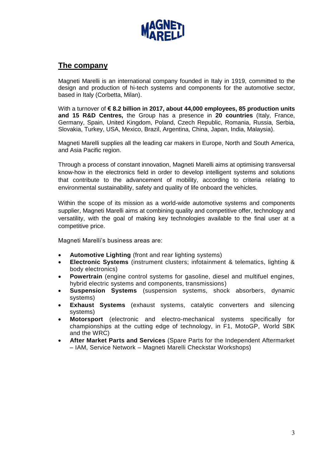

## **The company**

Magneti Marelli is an international company founded in Italy in 1919, committed to the design and production of hi-tech systems and components for the automotive sector, based in Italy (Corbetta, Milan).

With a turnover of **€ 8.2 billion in 2017, about 44,000 employees, 85 production units and 15 R&D Centres,** the Group has a presence in **20 countries** (Italy, France, Germany, Spain, United Kingdom, Poland, Czech Republic, Romania, Russia, Serbia, Slovakia, Turkey, USA, Mexico, Brazil, Argentina, China, Japan, India, Malaysia).

Magneti Marelli supplies all the leading car makers in Europe, North and South America, and Asia Pacific region.

Through a process of constant innovation, Magneti Marelli aims at optimising transversal know-how in the electronics field in order to develop intelligent systems and solutions that contribute to the advancement of mobility, according to criteria relating to environmental sustainability, safety and quality of life onboard the vehicles.

Within the scope of its mission as a world-wide automotive systems and components supplier, Magneti Marelli aims at combining quality and competitive offer, technology and versatility, with the goal of making key technologies available to the final user at a competitive price.

Magneti Marelli's business areas are:

- **Automotive Lighting** (front and rear lighting systems)
- **Electronic Systems** (instrument clusters; infotainment & telematics, lighting & body electronics)
- **Powertrain** (engine control systems for gasoline, diesel and multifuel engines, hybrid electric systems and components, transmissions)
- **Suspension Systems** (suspension systems, shock absorbers, dynamic systems)
- **Exhaust Systems** (exhaust systems, catalytic converters and silencing systems)
- **Motorsport** (electronic and electro-mechanical systems specifically for championships at the cutting edge of technology, in F1, MotoGP, World SBK and the WRC)
- **After Market Parts and Services** (Spare Parts for the Independent Aftermarket – IAM, Service Network – Magneti Marelli Checkstar Workshops)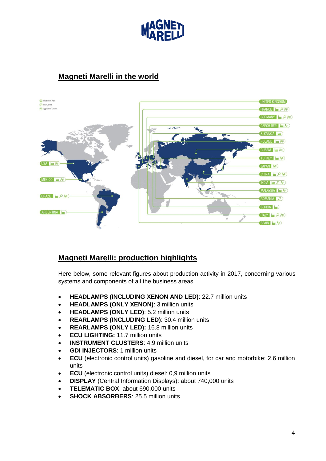

## **Magneti Marelli in the world**



## **Magneti Marelli: production highlights**

Here below, some relevant figures about production activity in 2017, concerning various systems and components of all the business areas.

- **HEADLAMPS (INCLUDING XENON AND LED)**: 22.7 million units
- **HEADLAMPS (ONLY XENON)**: 3 million units
- **HEADLAMPS (ONLY LED)**: 5.2 million units
- **REARLAMPS (INCLUDING LED)**: 30.4 million units
- **REARLAMPS (ONLY LED):** 16.8 million units
- **ECU LIGHTING:** 11.7 million units
- **INSTRUMENT CLUSTERS**: 4.9 million units
- **GDI INJECTORS**: 1 million units
- **ECU** (electronic control units) gasoline and diesel, for car and motorbike: 2.6 million units
- **ECU** (electronic control units) diesel: 0,9 million units
- **DISPLAY** (Central Information Displays): about 740,000 units
- **TELEMATIC BOX**: about 690,000 units
- **SHOCK ABSORBERS**: 25.5 million units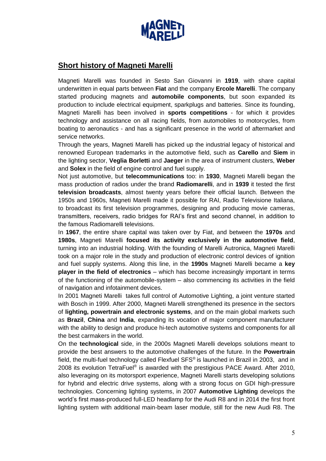

## **Short history of Magneti Marelli**

Magneti Marelli was founded in Sesto San Giovanni in **1919**, with share capital underwritten in equal parts between **Fiat** and the company **Ercole Marelli**. The company started producing magnets and **automobile components**, but soon expanded its production to include electrical equipment, sparkplugs and batteries. Since its founding, Magneti Marelli has been involved in **sports competitions** - for which it provides technology and assistance on all racing fields, from automobiles to motorcycles, from boating to aeronautics - and has a significant presence in the world of aftermarket and service networks.

Through the years, Magneti Marelli has picked up the industrial legacy of historical and renowned European trademarks in the automotive field, such as **Carello** and **Siem** in the lighting sector, **Veglia Borletti** and **Jaeger** in the area of instrument clusters, **Weber** and **Solex** in the field of engine control and fuel supply.

Not just automotive, but **telecommunications** too: in **1930**, Magneti Marelli began the mass production of radios under the brand **Radiomarelli**, and in **1939** it tested the first **television broadcasts**, almost twenty years before their official launch. Between the 1950s and 1960s, Magneti Marelli made it possible for RAI, Radio Televisione Italiana, to broadcast its first television programmes, designing and producing movie cameras, transmitters, receivers, radio bridges for RAI's first and second channel, in addition to the famous Radiomarelli televisions.

In **1967**, the entire share capital was taken over by Fiat, and between the **1970s** and **1980s**, Magneti Marelli **focused its activity exclusively in the automotive field**, turning into an industrial holding. With the founding of Marelli Autronica, Magneti Marelli took on a major role in the study and production of electronic control devices of ignition and fuel supply systems. Along this line, in the **1990s** Magneti Marelli became a **key player in the field of electronics** – which has become increasingly important in terms of the functioning of the automobile-system – also commencing its activities in the field of navigation and infotainment devices.

In 2001 Magneti Marelli takes full control of Automotive Lighting, a joint venture started with Bosch in 1999. After 2000, Magneti Marelli strengthened its presence in the sectors of **lighting, powertrain and electronic systems**, and on the main global markets such as **Brazil**, **China** and **India**, expanding its vocation of major component manufacturer with the ability to design and produce hi-tech automotive systems and components for all the best carmakers in the world.

On the **technological** side, in the 2000s Magneti Marelli develops solutions meant to provide the best answers to the automotive challenges of the future. In the **Powertrain** field, the multi-fuel technology called Flexfuel SFS® is launched in Brazil in 2003, and in 2008 its evolution TetraFuel® is awarded with the prestigious PACE Award. After 2010, also leveraging on its motorsport experience, Magneti Marelli starts developing solutions for hybrid and electric drive systems, along with a strong focus on GDI high-pressure technologies. Concerning lighting systems, in 2007 **Automotive Lighting** develops the world's first mass-produced full-LED headlamp for the Audi R8 and in 2014 the first front lighting system with additional main-beam laser module, still for the new Audi R8. The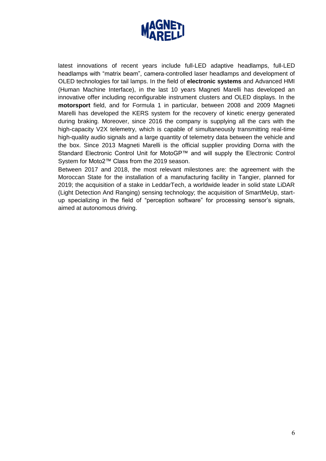

latest innovations of recent years include full-LED adaptive headlamps, full-LED headlamps with "matrix beam", camera-controlled laser headlamps and development of OLED technologies for tail lamps. In the field of **electronic systems** and Advanced HMI (Human Machine Interface), in the last 10 years Magneti Marelli has developed an innovative offer including reconfigurable instrument clusters and OLED displays. In the **motorsport** field, and for Formula 1 in particular, between 2008 and 2009 Magneti Marelli has developed the KERS system for the recovery of kinetic energy generated during braking. Moreover, since 2016 the company is supplying all the cars with the high-capacity V2X telemetry, which is capable of simultaneously transmitting real-time high-quality audio signals and a large quantity of telemetry data between the vehicle and the box. Since 2013 Magneti Marelli is the official supplier providing Dorna with the Standard Electronic Control Unit for MotoGP™ and will supply the Electronic Control System for Moto2™ Class from the 2019 season.

Between 2017 and 2018, the most relevant milestones are: the agreement with the Moroccan State for the installation of a manufacturing facility in Tangier, planned for 2019; the acquisition of a stake in LeddarTech, a worldwide leader in solid state LiDAR (Light Detection And Ranging) sensing technology; the acquisition of SmartMeUp, startup specializing in the field of "perception software" for processing sensor's signals, aimed at autonomous driving.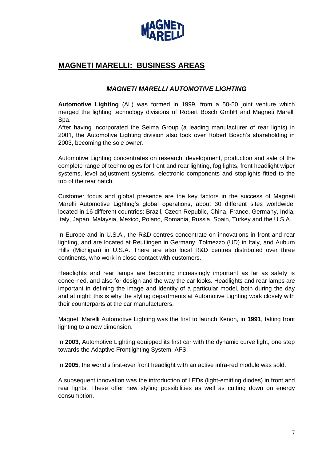

## **MAGNETI MARELLI: BUSINESS AREAS**

## *MAGNETI MARELLI AUTOMOTIVE LIGHTING*

**Automotive Lighting** (AL) was formed in 1999, from a 50-50 joint venture which merged the lighting technology divisions of Robert Bosch GmbH and Magneti Marelli Spa.

After having incorporated the Seima Group (a leading manufacturer of rear lights) in 2001, the Automotive Lighting division also took over Robert Bosch's shareholding in 2003, becoming the sole owner.

Automotive Lighting concentrates on research, development, production and sale of the complete range of technologies for front and rear lighting, fog lights, front headlight wiper systems, level adjustment systems, electronic components and stoplights fitted to the top of the rear hatch.

Customer focus and global presence are the key factors in the success of Magneti Marelli Automotive Lighting's global operations, about 30 different sites worldwide, located in 16 different countries: Brazil, Czech Republic, China, France, Germany, India, Italy, Japan, Malaysia, Mexico, Poland, Romania, Russia, Spain, Turkey and the U.S.A.

In Europe and in U.S.A., the R&D centres concentrate on innovations in front and rear lighting, and are located at Reutlingen in Germany, Tolmezzo (UD) in Italy, and Auburn Hills (Michigan) in U.S.A. There are also local R&D centres distributed over three continents, who work in close contact with customers.

Headlights and rear lamps are becoming increasingly important as far as safety is concerned, and also for design and the way the car looks. Headlights and rear lamps are important in defining the image and identity of a particular model, both during the day and at night: this is why the styling departments at Automotive Lighting work closely with their counterparts at the car manufacturers.

Magneti Marelli Automotive Lighting was the first to launch Xenon, in **1991**, taking front lighting to a new dimension.

In **2003**, Automotive Lighting equipped its first car with the dynamic curve light, one step towards the Adaptive Frontlighting System, AFS.

In **2005**, the world's first-ever front headlight with an active infra-red module was sold.

A subsequent innovation was the introduction of LEDs (light-emitting diodes) in front and rear lights. These offer new styling possibilities as well as cutting down on energy consumption.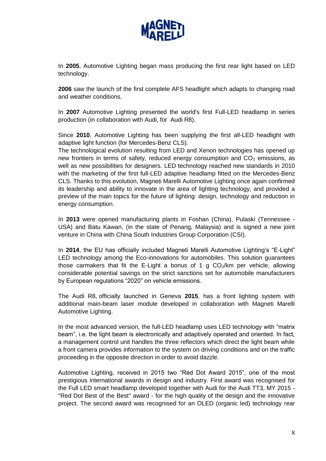

In **2005**, Automotive Lighting began mass producing the first rear light based on LED technology.

**2006** saw the launch of the first complete AFS headlight which adapts to changing road and weather conditions.

In **2007** Automotive Lighting presented the world's first Full-LED headlamp in series production (in collaboration with Audi, for Audi R8).

Since **2010**, Automotive Lighting has been supplying the first all-LED headlight with adaptive light function (for Mercedes-Benz CLS).

The technological evolution resulting from LED and Xenon technologies has opened up new frontiers in terms of safety, reduced energy consumption and  $CO<sub>2</sub>$  emissions, as well as new possibilities for designers. LED technology reached new standards in 2010 with the marketing of the first full-LED adaptive headlamp fitted on the Mercedes-Benz CLS. Thanks to this evolution, Magneti Marelli Automotive Lighting once again confirmed its leadership and ability to innovate in the area of lighting technology, and provided a preview of the main topics for the future of lighting: design, technology and reduction in energy consumption.

In **2013** were opened manufacturing plants in Foshan (China), Pulaski (Tennessee - USA) and Batu Kawan, (in the state of Penang, Malaysia) and is signed a new joint venture in China with China South Industries Group Corporation (CSI).

In **2014**, the EU has officially included Magneti Marelli Automotive Lighting's "E-Light" LED technology among the Eco-innovations for automobiles. This solution guarantees those carmakers that fit the E-Light a bonus of 1 g  $CO<sub>2</sub>/km$  per vehicle, allowing considerable potential savings on the strict sanctions set for automobile manufacturers by European regulations "2020" on vehicle emissions.

The Audi R8, officially launched in Geneva **2015**, has a front lighting system with additional main-beam laser module developed in collaboration with Magneti Marelli Automotive Lighting.

In the most advanced version, the full-LED headlamp uses LED technology with "matrix beam", i.e. the light beam is electronically and adaptively operated and oriented. In fact, a management control unit handles the three reflectors which direct the light beam while a front camera provides information to the system on driving conditions and on the traffic proceeding in the opposite direction in order to avoid dazzle.

Automotive Lighting, received in 2015 two "Red Dot Award 2015", one of the most prestigious international awards in design and industry. First award was recognised for the Full LED smart headlamp developed together with Audi for the Audi TT3, MY 2015 - "Red Dot Best of the Best" award - for the high quality of the design and the innovative project. The second award was recognised for an OLED (organic led) technology rear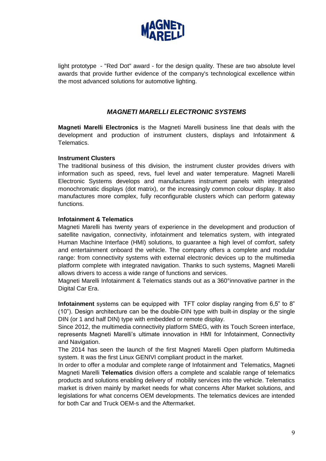

light prototype - "Red Dot" award - for the design quality. These are two absolute level awards that provide further evidence of the company's technological excellence within the most advanced solutions for automotive lighting.

## *MAGNETI MARELLI ELECTRONIC SYSTEMS*

**Magneti Marelli Electronics** is the Magneti Marelli business line that deals with the development and production of instrument clusters, displays and Infotainment & Telematics.

#### **Instrument Clusters**

The traditional business of this division, the instrument cluster provides drivers with information such as speed, revs, fuel level and water temperature. Magneti Marelli Electronic Systems develops and manufactures instrument panels with integrated monochromatic displays (dot matrix), or the increasingly common colour display. It also manufactures more complex, fully reconfigurable clusters which can perform gateway functions.

#### **Infotainment & Telematics**

Magneti Marelli has twenty years of experience in the development and production of satellite navigation, connectivity, infotainment and telematics system, with integrated Human Machine Interface (HMI) solutions, to guarantee a high level of comfort, safety and entertainment onboard the vehicle. The company offers a complete and modular range: from connectivity systems with external electronic devices up to the multimedia platform complete with integrated navigation. Thanks to such systems, Magneti Marelli allows drivers to access a wide range of functions and services.

Magneti Marelli Infotainment & Telematics stands out as a 360°innovative partner in the Digital Car Era.

**Infotainment** systems can be equipped with TFT color display ranging from 6,5" to 8" (10"). Design architecture can be the double-DIN type with built-in display or the single DIN (or 1 and half DIN) type with embedded or remote display.

Since 2012, the multimedia connectivity platform SMEG, with its Touch Screen interface, represents Magneti Marelli's ultimate innovation in HMI for Infotainment, Connectivity and Navigation.

The 2014 has seen the launch of the first Magneti Marelli Open platform Multimedia system. It was the first Linux GENIVI compliant product in the market.

In order to offer a modular and complete range of Infotainment and Telematics, Magneti Magneti Marelli **Telematics** division offers a complete and scalable range of telematics products and solutions enabling delivery of mobility services into the vehicle. Telematics market is driven mainly by market needs for what concerns After Market solutions, and legislations for what concerns OEM developments. The telematics devices are intended for both Car and Truck OEM-s and the Aftermarket.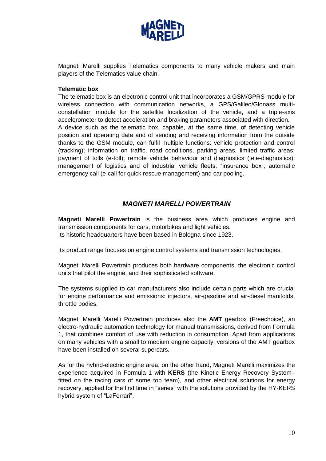

Magneti Marelli supplies Telematics components to many vehicle makers and main players of the Telematics value chain.

#### **Telematic box**

The telematic box is an electronic control unit that incorporates a GSM/GPRS module for wireless connection with communication networks, a GPS/Galileo/Glonass multiconstellation module for the satellite localization of the vehicle, and a triple-axis accelerometer to detect acceleration and braking parameters associated with direction. A device such as the telematic box, capable, at the same time, of detecting vehicle position and operating data and of sending and receiving information from the outside thanks to the GSM module, can fulfil multiple functions: vehicle protection and control (tracking); information on traffic, road conditions, parking areas, limited traffic areas; payment of tolls (e-toll); remote vehicle behaviour and diagnostics (tele-diagnostics); management of logistics and of industrial vehicle fleets; "insurance box"; automatic emergency call (e-call for quick rescue management) and car pooling.

### *MAGNETI MARELLI POWERTRAIN*

**Magneti Marelli Powertrain** is the business area which produces engine and transmission components for cars, motorbikes and light vehicles. Its historic headquarters have been based in Bologna since 1923.

Its product range focuses on engine control systems and transmission technologies.

Magneti Marelli Powertrain produces both hardware components, the electronic control units that pilot the engine, and their sophisticated software.

The systems supplied to car manufacturers also include certain parts which are crucial for engine performance and emissions: injectors, air-gasoline and air-diesel manifolds, throttle bodies.

Magneti Marelli Marelli Powertrain produces also the **AMT** gearbox (Freechoice), an electro-hydraulic automation technology for manual transmissions, derived from Formula 1, that combines comfort of use with reduction in consumption. Apart from applications on many vehicles with a small to medium engine capacity, versions of the AMT gearbox have been installed on several supercars.

As for the hybrid-electric engine area, on the other hand, Magneti Marelli maximizes the experience acquired in Formula 1 with **KERS** (the Kinetic Energy Recovery System– fitted on the racing cars of some top team), and other electrical solutions for energy recovery, applied for the first time in "series" with the solutions provided by the HY-KERS hybrid system of "LaFerrari".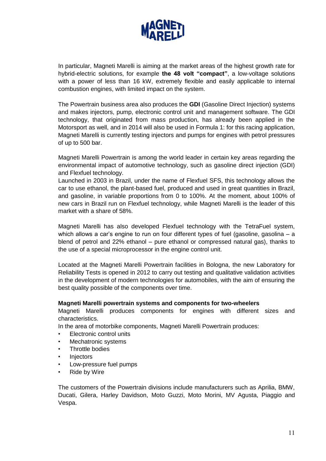

In particular, Magneti Marelli is aiming at the market areas of the highest growth rate for hybrid-electric solutions, for example **the 48 volt "compact"**, a low-voltage solutions with a power of less than 16 kW, extremely flexible and easily applicable to internal combustion engines, with limited impact on the system.

The Powertrain business area also produces the **GDI** (Gasoline Direct Injection) systems and makes injectors, pump, electronic control unit and management software. The GDI technology, that originated from mass production, has already been applied in the Motorsport as well, and in 2014 will also be used in Formula 1: for this racing application, Magneti Marelli is currently testing injectors and pumps for engines with petrol pressures of up to 500 bar.

Magneti Marelli Powertrain is among the world leader in certain key areas regarding the environmental impact of automotive technology, such as gasoline direct injection (GDI) and Flexfuel technology.

Launched in 2003 in Brazil, under the name of Flexfuel SFS, this technology allows the car to use ethanol, the plant-based fuel, produced and used in great quantities in Brazil, and gasoline, in variable proportions from 0 to 100%. At the moment, about 100% of new cars in Brazil run on Flexfuel technology, while Magneti Marelli is the leader of this market with a share of 58%.

Magneti Marelli has also developed Flexfuel technology with the TetraFuel system, which allows a car's engine to run on four different types of fuel (gasoline, gasolina – a blend of petrol and 22% ethanol – pure ethanol or compressed natural gas), thanks to the use of a special microprocessor in the engine control unit.

Located at the Magneti Marelli Powertrain facilities in Bologna, the new Laboratory for Reliability Tests is opened in 2012 to carry out testing and qualitative validation activities in the development of modern technologies for automobiles, with the aim of ensuring the best quality possible of the components over time.

#### **Magneti Marelli powertrain systems and components for two-wheelers**

Magneti Marelli produces components for engines with different sizes and characteristics.

In the area of motorbike components, Magneti Marelli Powertrain produces:

- Electronic control units
- Mechatronic systems
- Throttle bodies
- **Injectors**
- Low-pressure fuel pumps
- Ride by Wire

The customers of the Powertrain divisions include manufacturers such as Aprilia, BMW, Ducati, Gilera, Harley Davidson, Moto Guzzi, Moto Morini, MV Agusta, Piaggio and Vespa.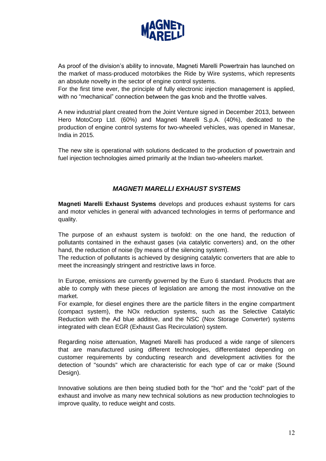

As proof of the division's ability to innovate, Magneti Marelli Powertrain has launched on the market of mass-produced motorbikes the Ride by Wire systems, which represents an absolute novelty in the sector of engine control systems.

For the first time ever, the principle of fully electronic injection management is applied, with no "mechanical" connection between the gas knob and the throttle valves.

A new industrial plant created from the Joint Venture signed in December 2013, between Hero MotoCorp Ltd. (60%) and Magneti Marelli S.p.A. (40%), dedicated to the production of engine control systems for two-wheeled vehicles, was opened in Manesar, India in 2015.

The new site is operational with solutions dedicated to the production of powertrain and fuel injection technologies aimed primarily at the Indian two-wheelers market.

## *MAGNETI MARELLI EXHAUST SYSTEMS*

**Magneti Marelli Exhaust Systems** develops and produces exhaust systems for cars and motor vehicles in general with advanced technologies in terms of performance and quality.

The purpose of an exhaust system is twofold: on the one hand, the reduction of pollutants contained in the exhaust gases (via catalytic converters) and, on the other hand, the reduction of noise (by means of the silencing system).

The reduction of pollutants is achieved by designing catalytic converters that are able to meet the increasingly stringent and restrictive laws in force.

In Europe, emissions are currently governed by the Euro 6 standard. Products that are able to comply with these pieces of legislation are among the most innovative on the market.

For example, for diesel engines there are the particle filters in the engine compartment (compact system), the NOx reduction systems, such as the Selective Catalytic Reduction with the Ad blue additive, and the NSC (Nox Storage Converter) systems integrated with clean EGR (Exhaust Gas Recirculation) system.

Regarding noise attenuation, Magneti Marelli has produced a wide range of silencers that are manufactured using different technologies, differentiated depending on customer requirements by conducting research and development activities for the detection of "sounds" which are characteristic for each type of car or make (Sound Design).

Innovative solutions are then being studied both for the "hot" and the "cold" part of the exhaust and involve as many new technical solutions as new production technologies to improve quality, to reduce weight and costs.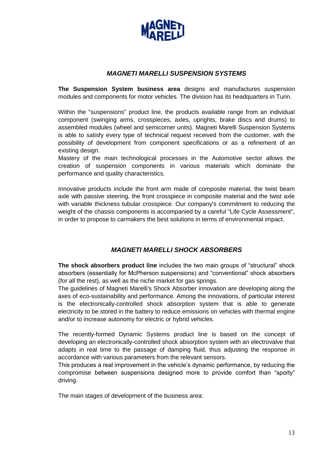

### *MAGNETI MARELLI SUSPENSION SYSTEMS*

**The Suspension System business area** designs and manufactures suspension modules and components for motor vehicles. The division has its headquarters in Turin.

Within the "suspensions" product line, the products available range from an individual component (swinging arms, crosspieces, axles, uprights, brake discs and drums) to assembled modules (wheel and semicorner units). Magneti Marelli Suspension Systems is able to satisfy every type of technical request received from the customer, with the possibility of development from component specifications or as a refinement of an existing design.

Mastery of the main technological processes in the Automotive sector allows the creation of suspension components in various materials which dominate the performance and quality characteristics.

Innovative products include the front arm made of composite material, the twist beam axle with passive steering, the front crosspiece in composite material and the twist axle with variable thickness tubular crosspiece. Our company's commitment to reducing the weight of the chassis components is accompanied by a careful "Life Cycle Assessment", in order to propose to carmakers the best solutions in terms of environmental impact.

## *MAGNETI MARELLI SHOCK ABSORBERS*

**The shock absorbers product line** includes the two main groups of "structural" shock absorbers (essentially for McPherson suspensions) and "conventional" shock absorbers (for all the rest), as well as the niche market for gas springs.

The guidelines of Magneti Marelli's Shock Absorber innovation are developing along the axes of eco-sustainability and performance. Among the innovations, of particular interest is the electronically-controlled shock absorption system that is able to generate electricity to be stored in the battery to reduce emissions on vehicles with thermal engine and/or to increase autonomy for electric or hybrid vehicles.

The recently-formed Dynamic Systems product line is based on the concept of developing an electronically-controlled shock absorption system with an electrovalve that adapts in real time to the passage of damping fluid, thus adjusting the response in accordance with various parameters from the relevant sensors.

This produces a real improvement in the vehicle's dynamic performance, by reducing the compromise between suspensions designed more to provide comfort than "sporty" driving.

The main stages of development of the business area: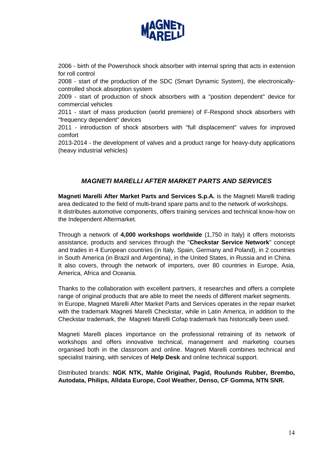

2006 - birth of the Powershock shock absorber with internal spring that acts in extension for roll control

2008 - start of the production of the SDC (Smart Dynamic System), the electronicallycontrolled shock absorption system

2009 - start of production of shock absorbers with a "position dependent" device for commercial vehicles

2011 - start of mass production (world premiere) of F-Respond shock absorbers with "frequency dependent" devices

2011 - introduction of shock absorbers with "full displacement" valves for improved comfort

2013-2014 - the development of valves and a product range for heavy-duty applications (heavy industrial vehicles)

## *MAGNETI MARELLI AFTER MARKET PARTS AND SERVICES*

**Magneti Marelli After Market Parts and Services S.p.A.** is the Magneti Marelli trading area dedicated to the field of multi-brand spare parts and to the network of workshops. It distributes automotive components, offers training services and technical know-how on the Independent Aftermarket.

Through a network of **4,000 workshops worldwide** (1,750 in Italy) it offers motorists assistance, products and services through the "**Checkstar Service Network**" concept and trades in 4 European countries (in Italy, Spain, Germany and Poland), in 2 countries in South America (in Brazil and Argentina), in the United States, in Russia and in China. It also covers, through the network of importers, over 80 countries in Europe, Asia, America, Africa and Oceania.

Thanks to the collaboration with excellent partners, it researches and offers a complete range of original products that are able to meet the needs of different market segments. In Europe, Magneti Marelli After Market Parts and Services operates in the repair market with the trademark Magneti Marelli Checkstar, while in Latin America, in addition to the Checkstar trademark, the Magneti Marelli Cofap trademark has historically been used.

Magneti Marelli places importance on the professional retraining of its network of workshops and offers innovative technical, management and marketing courses organised both in the classroom and online. Magneti Marelli combines technical and specialist training, with services of **Help Desk** and online technical support.

Distributed brands: **NGK NTK, Mahle Original, Pagid, Roulunds Rubber, Brembo, Autodata, Philips, Alldata Europe, Cool Weather, Denso, CF Gomma, NTN SNR.**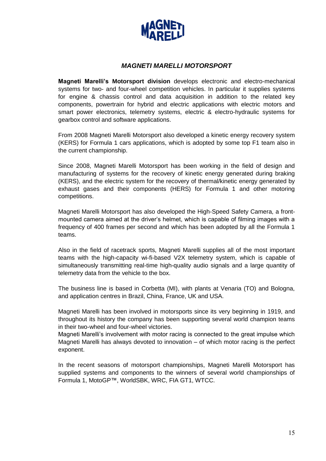

## *MAGNETI MARELLI MOTORSPORT*

**Magneti Marelli's Motorsport division** develops electronic and electro-mechanical systems for two- and four-wheel competition vehicles. In particular it supplies systems for engine & chassis control and data acquisition in addition to the related key components, powertrain for hybrid and electric applications with electric motors and smart power electronics, telemetry systems, electric & electro-hydraulic systems for gearbox control and software applications.

From 2008 Magneti Marelli Motorsport also developed a kinetic energy recovery system (KERS) for Formula 1 cars applications, which is adopted by some top F1 team also in the current championship.

Since 2008, Magneti Marelli Motorsport has been working in the field of design and manufacturing of systems for the recovery of kinetic energy generated during braking (KERS), and the electric system for the recovery of thermal/kinetic energy generated by exhaust gases and their components (HERS) for Formula 1 and other motoring competitions.

Magneti Marelli Motorsport has also developed the High-Speed Safety Camera, a frontmounted camera aimed at the driver's helmet, which is capable of filming images with a frequency of 400 frames per second and which has been adopted by all the Formula 1 teams.

Also in the field of racetrack sports, Magneti Marelli supplies all of the most important teams with the high-capacity wi-fi-based V2X telemetry system, which is capable of simultaneously transmitting real-time high-quality audio signals and a large quantity of telemetry data from the vehicle to the box.

The business line is based in Corbetta (MI), with plants at Venaria (TO) and Bologna, and application centres in Brazil, China, France, UK and USA.

Magneti Marelli has been involved in motorsports since its very beginning in 1919, and throughout its history the company has been supporting several world champion teams in their two-wheel and four-wheel victories.

Magneti Marelli's involvement with motor racing is connected to the great impulse which Magneti Marelli has always devoted to innovation – of which motor racing is the perfect exponent.

In the recent seasons of motorsport championships, Magneti Marelli Motorsport has supplied systems and components to the winners of several world championships of Formula 1, MotoGP™, WorldSBK, WRC, FIA GT1, WTCC.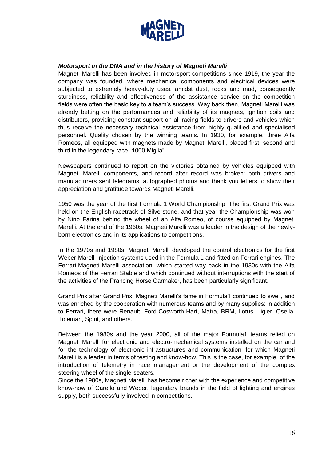

#### *Motorsport in the DNA and in the history of Magneti Marelli*

Magneti Marelli has been involved in motorsport competitions since 1919, the year the company was founded, where mechanical components and electrical devices were subjected to extremely heavy-duty uses, amidst dust, rocks and mud, consequently sturdiness, reliability and effectiveness of the assistance service on the competition fields were often the basic key to a team's success. Way back then, Magneti Marelli was already betting on the performances and reliability of its magnets, ignition coils and distributors, providing constant support on all racing fields to drivers and vehicles which thus receive the necessary technical assistance from highly qualified and specialised personnel. Quality chosen by the winning teams. In 1930, for example, three Alfa Romeos, all equipped with magnets made by Magneti Marelli, placed first, second and third in the legendary race "1000 Miglia".

Newspapers continued to report on the victories obtained by vehicles equipped with Magneti Marelli components, and record after record was broken: both drivers and manufacturers sent telegrams, autographed photos and thank you letters to show their appreciation and gratitude towards Magneti Marelli.

1950 was the year of the first Formula 1 World Championship. The first Grand Prix was held on the English racetrack of Silverstone, and that year the Championship was won by Nino Farina behind the wheel of an Alfa Romeo, of course equipped by Magneti Marelli. At the end of the 1960s, Magneti Marelli was a leader in the design of the newlyborn electronics and in its applications to competitions.

In the 1970s and 1980s, Magneti Marelli developed the control electronics for the first Weber-Marelli injection systems used in the Formula 1 and fitted on Ferrari engines. The Ferrari-Magneti Marelli association, which started way back in the 1930s with the Alfa Romeos of the Ferrari Stable and which continued without interruptions with the start of the activities of the Prancing Horse Carmaker, has been particularly significant.

Grand Prix after Grand Prix, Magneti Marelli's fame in Formula1 continued to swell, and was enriched by the cooperation with numerous teams and by many supplies: in addition to Ferrari, there were Renault, Ford-Cosworth-Hart, Matra, BRM, Lotus, Ligier, Osella, Toleman, Spirit, and others.

Between the 1980s and the year 2000, all of the major Formula1 teams relied on Magneti Marelli for electronic and electro-mechanical systems installed on the car and for the technology of electronic infrastructures and communication, for which Magneti Marelli is a leader in terms of testing and know-how. This is the case, for example, of the introduction of telemetry in race management or the development of the complex steering wheel of the single-seaters.

Since the 1980s, Magneti Marelli has become richer with the experience and competitive know-how of Carello and Weber, legendary brands in the field of lighting and engines supply, both successfully involved in competitions.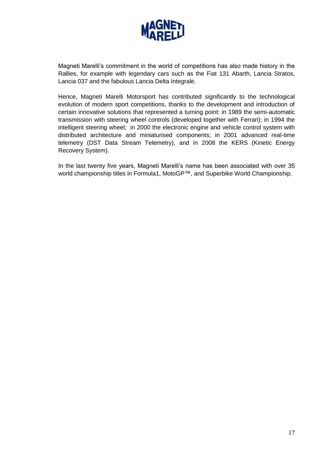

Magneti Marelli's commitment in the world of competitions has also made history in the Rallies, for example with legendary cars such as the Fiat 131 Abarth, Lancia Stratos, Lancia 037 and the fabulous Lancia Delta Integrale.

Hence, Magneti Marelli Motorsport has contributed significantly to the technological evolution of modern sport competitions, thanks to the development and introduction of certain innovative solutions that represented a turning point: in 1989 the semi-automatic transmission with steering wheel controls (developed together with Ferrari); in 1994 the intelligent steering wheel; in 2000 the electronic engine and vehicle control system with distributed architecture and miniaturised components; in 2001 advanced real-time telemetry (DST Data Stream Telemetry), and in 2008 the KERS (Kinetic Energy Recovery System).

In the last twenty five years, Magneti Marelli's name has been associated with over 35 world championship titles in Formula1, MotoGP™, and Superbike World Championship.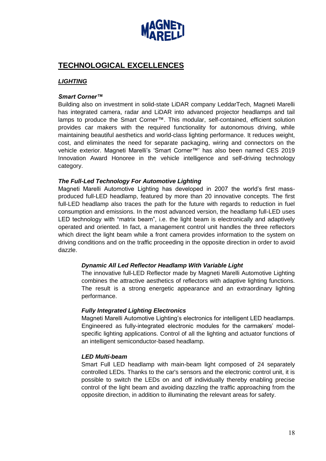

## **TECHNOLOGICAL EXCELLENCES**

## *LIGHTING*

#### *Smart Corner™*

Building also on investment in solid-state LiDAR company LeddarTech, Magneti Marelli has integrated camera, radar and LiDAR into advanced projector headlamps and tail lamps to produce the Smart Corner™. This modular, self-contained, efficient solution provides car makers with the required functionality for autonomous driving, while maintaining beautiful aesthetics and world-class lighting performance. It reduces weight, cost, and eliminates the need for separate packaging, wiring and connectors on the vehicle exterior. Magneti Marelli's 'Smart Corner™' has also been named CES 2019 Innovation Award Honoree in the vehicle intelligence and self-driving technology category.

#### *[The Full-Led Technology For Automotive Lighting](http://www.magnetimarelli.com/excellence/technological-excellences/the-full-led-technology)*

Magneti Marelli Automotive Lighting has developed in 2007 the world's first massproduced full-LED headlamp, featured by more than 20 innovative concepts. The first full-LED headlamp also traces the path for the future with regards to reduction in fuel consumption and emissions. In the most advanced version, the headlamp full-LED uses LED technology with "matrix beam", i.e. the light beam is electronically and adaptively operated and oriented. In fact, a management control unit handles the three reflectors which direct the light beam while a front camera provides information to the system on driving conditions and on the traffic proceeding in the opposite direction in order to avoid dazzle.

#### *Dynamic All Led Reflector Headlamp With Variable Light*

The innovative full-LED Reflector made by Magneti Marelli Automotive Lighting combines the attractive aesthetics of reflectors with adaptive lighting functions. The result is a strong energetic appearance and an extraordinary lighting performance.

#### *Fully Integrated Lighting Electronics*

Magneti Marelli Automotive Lighting's electronics for intelligent LED headlamps. Engineered as fully-integrated electronic modules for the carmakers' modelspecific lighting applications. Control of all the lighting and actuator functions of an intelligent semiconductor-based headlamp.

#### *LED Multi-beam*

Smart Full LED headlamp with main-beam light composed of 24 separately controlled LEDs. Thanks to the car's sensors and the electronic control unit, it is possible to switch the LEDs on and off individually thereby enabling precise control of the light beam and avoiding dazzling the traffic approaching from the opposite direction, in addition to illuminating the relevant areas for safety.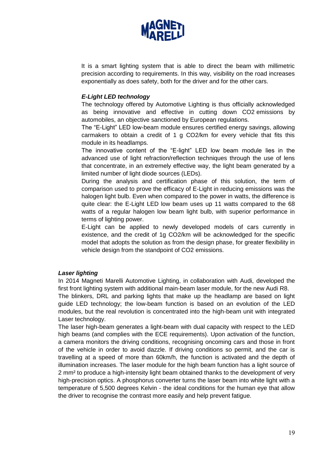

It is a smart lighting system that is able to direct the beam with millimetric precision according to requirements. In this way, visibility on the road increases exponentially as does safety, both for the driver and for the other cars.

### *E-Light LED technology*

The technology offered by Automotive Lighting is thus officially acknowledged as being innovative and effective in cutting down CO2 emissions by automobiles, an objective sanctioned by European regulations.

The "E-Light" LED low-beam module ensures certified energy savings, allowing carmakers to obtain a credit of 1 g CO2/km for every vehicle that fits this module in its headlamps.

The innovative content of the "E-light" LED low beam module lies in the advanced use of light refraction/reflection techniques through the use of lens that concentrate, in an extremely effective way, the light beam generated by a limited number of light diode sources (LEDs).

During the analysis and certification phase of this solution, the term of comparison used to prove the efficacy of E-Light in reducing emissions was the halogen light bulb. Even when compared to the power in watts, the difference is quite clear: the E-Light LED low beam uses up 11 watts compared to the 68 watts of a regular halogen low beam light bulb, with superior performance in terms of lighting power.

E-Light can be applied to newly developed models of cars currently in existence, and the credit of 1g CO2/km will be acknowledged for the specific model that adopts the solution as from the design phase, for greater flexibility in vehicle design from the standpoint of CO2 emissions.

#### *Laser lighting*

In 2014 Magneti Marelli Automotive Lighting, in collaboration with Audi, developed the first front lighting system with additional main-beam laser module, for the new Audi R8.

The blinkers, DRL and parking lights that make up the headlamp are based on light guide LED technology; the low-beam function is based on an evolution of the LED modules, but the real revolution is concentrated into the high-beam unit with integrated Laser technology.

The laser high-beam generates a light-beam with dual capacity with respect to the LED high beams (and complies with the ECE requirements). Upon activation of the function, a camera monitors the driving conditions, recognising oncoming cars and those in front of the vehicle in order to avoid dazzle. If driving conditions so permit, and the car is travelling at a speed of more than 60km/h, the function is activated and the depth of illumination increases. The laser module for the high beam function has a light source of 2 mm² to produce a high-intensity light beam obtained thanks to the development of very high-precision optics. A phosphorus converter turns the laser beam into white light with a temperature of 5,500 degrees Kelvin - the ideal conditions for the human eye that allow the driver to recognise the contrast more easily and help prevent fatigue.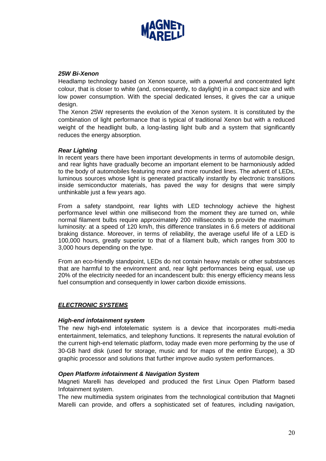

#### *25W Bi-Xenon*

Headlamp technology based on Xenon source, with a powerful and concentrated light colour, that is closer to white (and, consequently, to daylight) in a compact size and with low power consumption. With the special dedicated lenses, it gives the car a unique design.

The Xenon 25W represents the evolution of the Xenon system. It is constituted by the combination of light performance that is typical of traditional Xenon but with a reduced weight of the headlight bulb, a long-lasting light bulb and a system that significantly reduces the energy absorption.

#### *Rear Lighting*

In recent years there have been important developments in terms of automobile design, and rear lights have gradually become an important element to be harmoniously added to the body of automobiles featuring more and more rounded lines. The advent of LEDs, luminous sources whose light is generated practically instantly by electronic transitions inside semiconductor materials, has paved the way for designs that were simply unthinkable just a few years ago.

From a safety standpoint, rear lights with LED technology achieve the highest performance level within one millisecond from the moment they are turned on, while normal filament bulbs require approximately 200 milliseconds to provide the maximum luminosity: at a speed of 120 km/h, this difference translates in 6.6 meters of additional braking distance. Moreover, in terms of reliability, the average useful life of a LED is 100,000 hours, greatly superior to that of a filament bulb, which ranges from 300 to 3,000 hours depending on the type.

From an eco-friendly standpoint, LEDs do not contain heavy metals or other substances that are harmful to the environment and, rear light performances being equal, use up 20% of the electricity needed for an incandescent bulb: this energy efficiency means less fuel consumption and consequently in lower carbon dioxide emissions.

#### *ELECTRONIC SYSTEMS*

#### *High-end infotainment system*

The new high-end infotelematic system is a device that incorporates multi-media entertainment, telematics, and telephony functions. It represents the natural evolution of the current high-end telematic platform, today made even more performing by the use of 30-GB hard disk (used for storage, music and for maps of the entire Europe), a 3D graphic processor and solutions that further improve audio system performances.

#### *Open Platform infotainment & Navigation System*

Magneti Marelli has developed and produced the first Linux Open Platform based Infotainment system.

The new multimedia system originates from the technological contribution that Magneti Marelli can provide, and offers a sophisticated set of features, including navigation,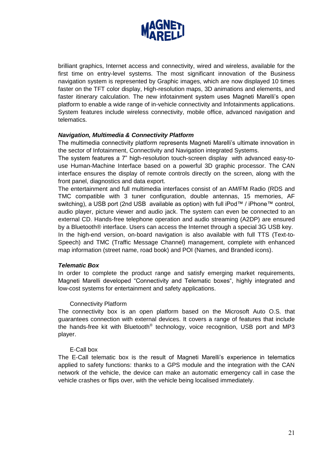

brilliant graphics, Internet access and connectivity, wired and wireless, available for the first time on entry-level systems. The most significant innovation of the Business navigation system is represented by Graphic images, which are now displayed 10 times faster on the TFT color display, High-resolution maps, 3D animations and elements, and faster itinerary calculation. The new infotainment system uses Magneti Marelli's open platform to enable a wide range of in-vehicle connectivity and Infotainments applications. System features include wireless connectivity, mobile office, advanced navigation and telematics.

#### *Navigation, Multimedia & Connectivity Platform*

The multimedia connectivity platform represents Magneti Marelli's ultimate innovation in the sector of Infotainment, Connectivity and Navigation integrated Systems.

The system features a 7" high-resolution touch-screen display with advanced easy-touse Human-Machine Interface based on a powerful 3D graphic processor. The CAN interface ensures the display of remote controls directly on the screen, along with the front panel, diagnostics and data export.

The entertainment and full multimedia interfaces consist of an AM/FM Radio (RDS and TMC compatible with 3 tuner configuration, double antennas, 15 memories, AF switching), a USB port (2nd USB available as option) with full iPod™ / iPhone™ control, audio player, picture viewer and audio jack. The system can even be connected to an external CD. Hands-free telephone operation and audio streaming (A2DP) are ensured by a Bluetooth® interface. Users can access the Internet through a special 3G USB key.

In the high-end version, on-board navigation is also available with full TTS (Text-to-Speech) and TMC (Traffic Message Channel) management, complete with enhanced map information (street name, road book) and POI (Names, and Branded icons).

#### *Telematic Box*

In order to complete the product range and satisfy emerging market requirements, Magneti Marelli developed "Connectivity and Telematic boxes", highly integrated and low-cost systems for entertainment and safety applications.

#### Connectivity Platform

The connectivity box is an open platform based on the Microsoft Auto O.S. that guarantees connection with external devices. It covers a range of features that include the hands-free kit with Bluetooth® technology, voice recognition, USB port and MP3 player.

#### E-Call box

The E-Call telematic box is the result of Magneti Marelli's experience in telematics applied to safety functions: thanks to a GPS module and the integration with the CAN network of the vehicle, the device can make an automatic emergency call in case the vehicle crashes or flips over, with the vehicle being localised immediately.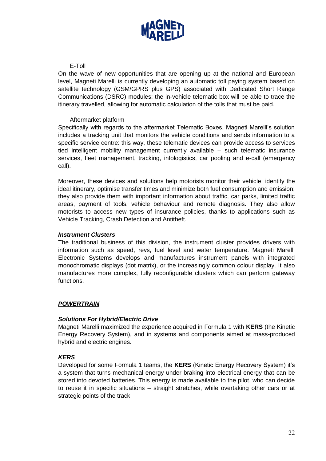

#### E-Toll

On the wave of new opportunities that are opening up at the national and European level, Magneti Marelli is currently developing an automatic toll paying system based on satellite technology (GSM/GPRS plus GPS) associated with Dedicated Short Range Communications (DSRC) modules: the in-vehicle telematic box will be able to trace the itinerary travelled, allowing for automatic calculation of the tolls that must be paid.

#### Aftermarket platform

Specifically with regards to the aftermarket Telematic Boxes, Magneti Marelli's solution includes a tracking unit that monitors the vehicle conditions and sends information to a specific service centre: this way, these telematic devices can provide access to services tied intelligent mobility management currently available – such telematic insurance services, fleet management, tracking, infologistics, car pooling and e-call (emergency call).

Moreover, these devices and solutions help motorists monitor their vehicle, identify the ideal itinerary, optimise transfer times and minimize both fuel consumption and emission; they also provide them with important information about traffic, car parks, limited traffic areas, payment of tools, vehicle behaviour and remote diagnosis. They also allow motorists to access new types of insurance policies, thanks to applications such as Vehicle Tracking, Crash Detection and Antitheft.

#### *Instrument Clusters*

The traditional business of this division, the instrument cluster provides drivers with information such as speed, revs, fuel level and water temperature. Magneti Marelli Electronic Systems develops and manufactures instrument panels with integrated monochromatic displays (dot matrix), or the increasingly common colour display. It also manufactures more complex, fully reconfigurable clusters which can perform gateway functions.

#### *POWERTRAIN*

#### *Solutions For Hybrid/Electric Drive*

Magneti Marelli maximized the experience acquired in Formula 1 with **KERS** (the Kinetic Energy Recovery System), and in systems and components aimed at mass-produced hybrid and electric engines.

#### *KERS*

Developed for some Formula 1 teams, the **KERS** (Kinetic Energy Recovery System) it's a system that turns mechanical energy under braking into electrical energy that can be stored into devoted batteries. This energy is made available to the pilot, who can decide to reuse it in specific situations – straight stretches, while overtaking other cars or at strategic points of the track.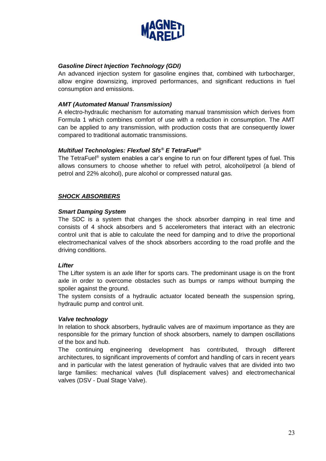

### *Gasoline Direct Injection Technology (GDI)*

An advanced injection system for gasoline engines that, combined with turbocharger, allow engine downsizing, improved performances, and significant reductions in fuel consumption and emissions.

#### *AMT (Automated Manual Transmission)*

A electro-hydraulic mechanism for automating manual transmission which derives from Formula 1 which combines comfort of use with a reduction in consumption. The AMT can be applied to any transmission, with production costs that are consequently lower compared to traditional automatic transmissions.

#### *Multifuel Technologies: Flexfuel Sfs® E TetraFuel®*

The TetraFuel® system enables a car's engine to run on four different types of fuel. This allows consumers to choose whether to refuel with petrol, alcohol/petrol (a blend of petrol and 22% alcohol), pure alcohol or compressed natural gas.

### *SHOCK ABSORBERS*

#### *Smart Damping System*

The SDC is a system that changes the shock absorber damping in real time and consists of 4 shock absorbers and 5 accelerometers that interact with an electronic control unit that is able to calculate the need for damping and to drive the proportional electromechanical valves of the shock absorbers according to the road profile and the driving conditions.

#### *Lifter*

The Lifter system is an axle lifter for sports cars. The predominant usage is on the front axle in order to overcome obstacles such as bumps or ramps without bumping the spoiler against the ground.

The system consists of a hydraulic actuator located beneath the suspension spring, hydraulic pump and control unit.

#### *Valve technology*

In relation to shock absorbers, hydraulic valves are of maximum importance as they are responsible for the primary function of shock absorbers, namely to dampen oscillations of the box and hub.

The continuing engineering development has contributed, through different architectures, to significant improvements of comfort and handling of cars in recent years and in particular with the latest generation of hydraulic valves that are divided into two large families: mechanical valves (full displacement valves) and electromechanical valves (DSV - Dual Stage Valve).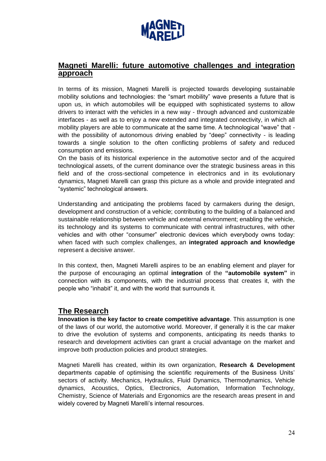

## **Magneti Marelli: future automotive challenges and integration approach**

In terms of its mission, Magneti Marelli is projected towards developing sustainable mobility solutions and technologies: the "smart mobility" wave presents a future that is upon us, in which automobiles will be equipped with sophisticated systems to allow drivers to interact with the vehicles in a new way - through advanced and customizable interfaces - as well as to enjoy a new extended and integrated connectivity, in which all mobility players are able to communicate at the same time. A technological "wave" that with the possibility of autonomous driving enabled by "deep" connectivity - is leading towards a single solution to the often conflicting problems of safety and reduced consumption and emissions.

On the basis of its historical experience in the automotive sector and of the acquired technological assets, of the current dominance over the strategic business areas in this field and of the cross-sectional competence in electronics and in its evolutionary dynamics, Magneti Marelli can grasp this picture as a whole and provide integrated and "systemic" technological answers.

Understanding and anticipating the problems faced by carmakers during the design, development and construction of a vehicle; contributing to the building of a balanced and sustainable relationship between vehicle and external environment; enabling the vehicle, its technology and its systems to communicate with central infrastructures, with other vehicles and with other "consumer" electronic devices which everybody owns today: when faced with such complex challenges, an **integrated approach and knowledge** represent a decisive answer.

In this context, then, Magneti Marelli aspires to be an enabling element and player for the purpose of encouraging an optimal **integration** of the **"automobile system"** in connection with its components, with the industrial process that creates it, with the people who "inhabit" it, and with the world that surrounds it.

## **The Research**

**Innovation is the key factor to create competitive advantage**. This assumption is one of the laws of our world, the automotive world. Moreover, if generally it is the car maker to drive the evolution of systems and components, anticipating its needs thanks to research and development activities can grant a crucial advantage on the market and improve both production policies and product strategies.

Magneti Marelli has created, within its own organization, **Research & Development** departments capable of optimising the scientific requirements of the Business Units' sectors of activity. Mechanics, Hydraulics, Fluid Dynamics, Thermodynamics, Vehicle dynamics, Acoustics, Optics, Electronics, Automation, Information Technology, Chemistry, Science of Materials and Ergonomics are the research areas present in and widely covered by Magneti Marelli's internal resources.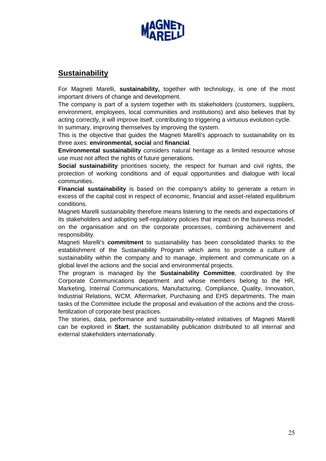

## **Sustainability**

For Magneti Marelli, **sustainability,** together with technology, is one of the most important drivers of change and development.

The company is part of a system together with its stakeholders (customers, suppliers, environment, employees, local communities and institutions) and also believes that by acting correctly, it will improve itself, contributing to triggering a virtuous evolution cycle. In summary, improving themselves by improving the system.

This is the objective that guides the Magneti Marelli's approach to sustainability on its three axes: **environmental, social** and **financial**.

**Environmental sustainability** considers natural heritage as a limited resource whose use must not affect the rights of future generations.

**Social sustainability** prioritises society, the respect for human and civil rights, the protection of working conditions and of equal opportunities and dialogue with local communities.

**Financial sustainability** is based on the company's ability to generate a return in excess of the capital cost in respect of economic, financial and asset-related equilibrium conditions.

Magneti Marelli sustainability therefore means listening to the needs and expectations of its stakeholders and adopting self-regulatory policies that impact on the business model, on the organisation and on the corporate processes, combining achievement and responsibility.

Magneti Marelli's **commitment** to sustainability has been consolidated thanks to the establishment of the Sustainability Program which aims to promote a culture of sustainability within the company and to manage, implement and communicate on a global level the actions and the social and environmental projects.

The program is managed by the **Sustainability Committee**, coordinated by the Corporate Communications department and whose members belong to the HR, Marketing, Internal Communications, Manufacturing, Compliance, Quality, Innovation, Industrial Relations, WCM, Aftermarket, Purchasing and EHS departments. The main tasks of the Committee include the proposal and evaluation of the actions and the crossfertilization of corporate best practices.

The stories, data, performance and sustainability-related initiatives of Magneti Marelli can be explored in **Start**, the sustainability publication distributed to all internal and external stakeholders internationally.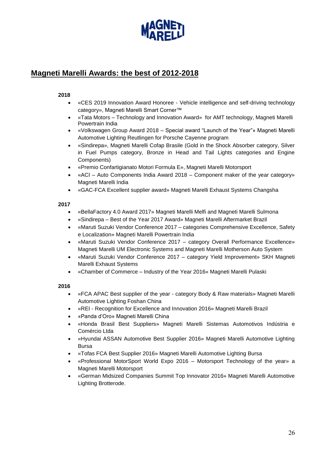

## **Magneti Marelli Awards: the best of 2012-2018**

#### **2018**

- «CES 2019 Innovation Award Honoree Vehicle intelligence and self-driving technology category», Magneti Marelli Smart Corner™
- «Tata Motors Technology and Innovation Award» for AMT technology, Magneti Marelli Powertrain India
- «Volkswagen Group Award 2018 Special award "Launch of the Year"» Magneti Marelli Automotive Lighting Reutlingen for Porsche Cayenne program
- «Sindirepa», Magneti Marelli Cofap Brasile (Gold in the Shock Absorber category, Silver in Fuel Pumps category, Bronze in Head and Tail Lights categories and Engine Components)
- «Premio Confartigianato Motori Formula E», Magneti Marelli Motorsport
- «ACI Auto Components India Award 2018 Component maker of the year category» Magneti Marelli India
- «GAC-FCA Excellent supplier award» Magneti Marelli Exhaust Systems Changsha

#### **2017**

- «BellaFactory 4.0 Award 2017» Magneti Marelli Melfi and Magneti Marelli Sulmona
- «Sindirepa Best of the Year 2017 Award» Magneti Marelli Aftermarket Brazil
- «Maruti Suzuki Vendor Conference 2017 categories Comprehensive Excellence, Safety e Localization» Magneti Marelli Powertrain India
- «Maruti Suzuki Vendor Conference 2017 category Overall Performance Excellence» Magneti Marelli UM Electronic Systems and Magneti Marelli Motherson Auto System
- «Maruti Suzuki Vendor Conference 2017 category Yield Improvement» SKH Magneti Marelli Exhaust Systems
- «Chamber of Commerce Industry of the Year 2016» Magneti Marelli Pulaski

#### **2016**

- «FCA APAC Best supplier of the year category Body & Raw materials» Magneti Marelli Automotive Lighting Foshan China
- «REI Recognition for Excellence and Innovation 2016» Magneti Marelli Brazil
- «Panda d'Oro» Magneti Marelli China
- «Honda Brasil Best Suppliers» Magneti Marelli Sistemas Automotivos Indústria e Comércio Ltda
- «Hyundai ASSAN Automotive Best Supplier 2016» Magneti Marelli Automotive Lighting Bursa
- «Tofas FCA Best Supplier 2016» Magneti Marelli Automotive Lighting Bursa
- «Professional MotorSport World Expo 2016 Motorsport Technology of the year» a Magneti Marelli Motorsport
- «German Midsized Companies Summit Top Innovator 2016» Magneti Marelli Automotive Lighting Brotterode.